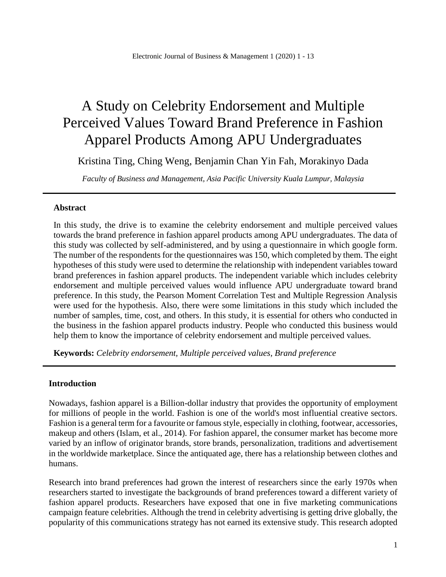# A Study on Celebrity Endorsement and Multiple Perceived Values Toward Brand Preference in Fashion Apparel Products Among APU Undergraduates

Kristina Ting, Ching Weng, Benjamin Chan Yin Fah, Morakinyo Dada

*Faculty of Business and Management, Asia Pacific University Kuala Lumpur, Malaysia*

# **Abstract**

In this study, the drive is to examine the celebrity endorsement and multiple perceived values towards the brand preference in fashion apparel products among APU undergraduates. The data of this study was collected by self-administered, and by using a questionnaire in which google form. The number of the respondents for the questionnaires was 150, which completed by them. The eight hypotheses of this study were used to determine the relationship with independent variables toward brand preferences in fashion apparel products. The independent variable which includes celebrity endorsement and multiple perceived values would influence APU undergraduate toward brand preference. In this study, the Pearson Moment Correlation Test and Multiple Regression Analysis were used for the hypothesis. Also, there were some limitations in this study which included the number of samples, time, cost, and others. In this study, it is essential for others who conducted in the business in the fashion apparel products industry. People who conducted this business would help them to know the importance of celebrity endorsement and multiple perceived values.

**Keywords:** *Celebrity endorsement, Multiple perceived values, Brand preference*

# **Introduction**

Nowadays, fashion apparel is a Billion-dollar industry that provides the opportunity of employment for millions of people in the world. Fashion is one of the world's most influential creative sectors. Fashion is a general term for a favourite or famous style, especially in clothing, footwear, accessories, makeup and others (Islam, et al., 2014). For fashion apparel, the consumer market has become more varied by an inflow of originator brands, store brands, personalization, traditions and advertisement in the worldwide marketplace. Since the antiquated age, there has a relationship between clothes and humans.

Research into brand preferences had grown the interest of researchers since the early 1970s when researchers started to investigate the backgrounds of brand preferences toward a different variety of fashion apparel products. Researchers have exposed that one in five marketing communications campaign feature celebrities. Although the trend in celebrity advertising is getting drive globally, the popularity of this communications strategy has not earned its extensive study. This research adopted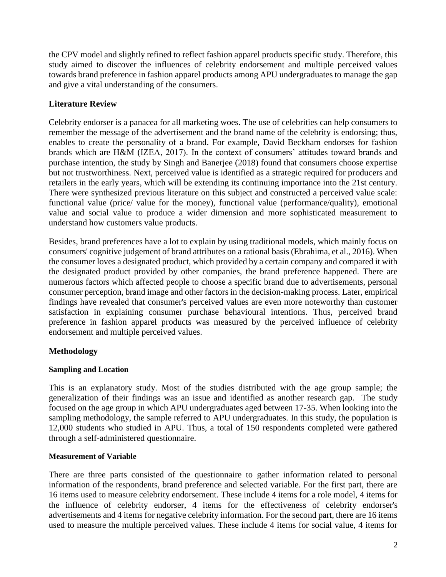the CPV model and slightly refined to reflect fashion apparel products specific study. Therefore, this study aimed to discover the influences of celebrity endorsement and multiple perceived values towards brand preference in fashion apparel products among APU undergraduates to manage the gap and give a vital understanding of the consumers.

# **Literature Review**

Celebrity endorser is a panacea for all marketing woes. The use of celebrities can help consumers to remember the message of the advertisement and the brand name of the celebrity is endorsing; thus, enables to create the personality of a brand. For example, David Beckham endorses for fashion brands which are H&M (IZEA, 2017). In the context of consumers' attitudes toward brands and purchase intention, the study by Singh and Banerjee (2018) found that consumers choose expertise but not trustworthiness. Next, perceived value is identified as a strategic required for producers and retailers in the early years, which will be extending its continuing importance into the 21st century. There were synthesized previous literature on this subject and constructed a perceived value scale: functional value (price/ value for the money), functional value (performance/quality), emotional value and social value to produce a wider dimension and more sophisticated measurement to understand how customers value products.

Besides, brand preferences have a lot to explain by using traditional models, which mainly focus on consumers' cognitive judgement of brand attributes on a rational basis (Ebrahima, et al., 2016). When the consumer loves a designated product, which provided by a certain company and compared it with the designated product provided by other companies, the brand preference happened. There are numerous factors which affected people to choose a specific brand due to advertisements, personal consumer perception, brand image and other factors in the decision-making process. Later, empirical findings have revealed that consumer's perceived values are even more noteworthy than customer satisfaction in explaining consumer purchase behavioural intentions. Thus, perceived brand preference in fashion apparel products was measured by the perceived influence of celebrity endorsement and multiple perceived values.

# **Methodology**

# **Sampling and Location**

This is an explanatory study. Most of the studies distributed with the age group sample; the generalization of their findings was an issue and identified as another research gap. The study focused on the age group in which APU undergraduates aged between 17-35. When looking into the sampling methodology, the sample referred to APU undergraduates. In this study, the population is 12,000 students who studied in APU. Thus, a total of 150 respondents completed were gathered through a self-administered questionnaire.

# **Measurement of Variable**

There are three parts consisted of the questionnaire to gather information related to personal information of the respondents, brand preference and selected variable. For the first part, there are 16 items used to measure celebrity endorsement. These include 4 items for a role model, 4 items for the influence of celebrity endorser, 4 items for the effectiveness of celebrity endorser's advertisements and 4 items for negative celebrity information. For the second part, there are 16 items used to measure the multiple perceived values. These include 4 items for social value, 4 items for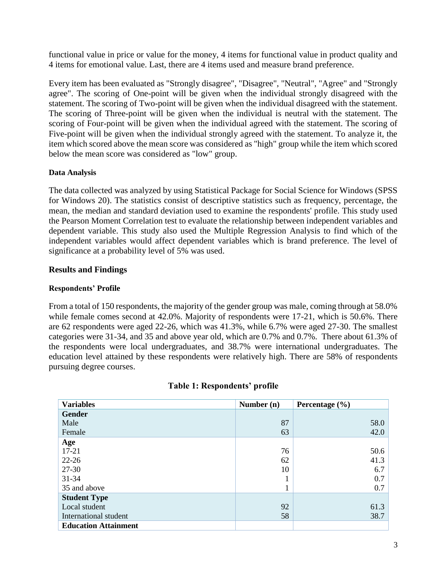functional value in price or value for the money, 4 items for functional value in product quality and 4 items for emotional value. Last, there are 4 items used and measure brand preference.

Every item has been evaluated as "Strongly disagree", "Disagree", "Neutral", "Agree" and "Strongly agree". The scoring of One-point will be given when the individual strongly disagreed with the statement. The scoring of Two-point will be given when the individual disagreed with the statement. The scoring of Three-point will be given when the individual is neutral with the statement. The scoring of Four-point will be given when the individual agreed with the statement. The scoring of Five-point will be given when the individual strongly agreed with the statement. To analyze it, the item which scored above the mean score was considered as "high" group while the item which scored below the mean score was considered as "low" group.

# **Data Analysis**

The data collected was analyzed by using Statistical Package for Social Science for Windows (SPSS for Windows 20). The statistics consist of descriptive statistics such as frequency, percentage, the mean, the median and standard deviation used to examine the respondents' profile. This study used the Pearson Moment Correlation test to evaluate the relationship between independent variables and dependent variable. This study also used the Multiple Regression Analysis to find which of the independent variables would affect dependent variables which is brand preference. The level of significance at a probability level of 5% was used.

# **Results and Findings**

# **Respondents' Profile**

From a total of 150 respondents, the majority of the gender group was male, coming through at 58.0% while female comes second at 42.0%. Majority of respondents were 17-21, which is 50.6%. There are 62 respondents were aged 22-26, which was 41.3%, while 6.7% were aged 27-30. The smallest categories were 31-34, and 35 and above year old, which are 0.7% and 0.7%. There about 61.3% of the respondents were local undergraduates, and 38.7% were international undergraduates. The education level attained by these respondents were relatively high. There are 58% of respondents pursuing degree courses.

| <b>Variables</b>            | Number (n) | Percentage $(\% )$ |
|-----------------------------|------------|--------------------|
| <b>Gender</b>               |            |                    |
| Male                        | 87         | 58.0               |
| Female                      | 63         | 42.0               |
| Age                         |            |                    |
| $17 - 21$                   | 76         | 50.6               |
| $22 - 26$                   | 62         | 41.3               |
| 27-30                       | 10         | 6.7                |
| $31 - 34$                   |            | 0.7                |
| 35 and above                |            | 0.7                |
| <b>Student Type</b>         |            |                    |
| Local student               | 92         | 61.3               |
| International student       | 58         | 38.7               |
| <b>Education Attainment</b> |            |                    |

# **Table 1: Respondents' profile**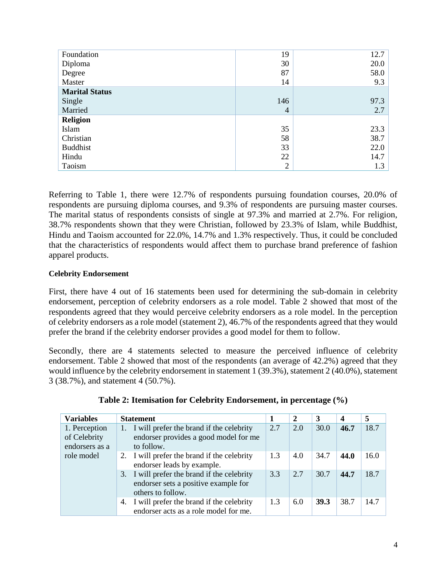| Foundation            | 19             | 12.7 |
|-----------------------|----------------|------|
| Diploma               | 30             | 20.0 |
| Degree                | 87             | 58.0 |
| Master                | 14             | 9.3  |
| <b>Marital Status</b> |                |      |
| Single                | 146            | 97.3 |
| Married               | $\overline{4}$ | 2.7  |
| <b>Religion</b>       |                |      |
| Islam                 | 35             | 23.3 |
| Christian             | 58             | 38.7 |
| <b>Buddhist</b>       | 33             | 22.0 |
| Hindu                 | 22             | 14.7 |
| Taoism                | $\overline{2}$ | 1.3  |

Referring to Table 1, there were 12.7% of respondents pursuing foundation courses, 20.0% of respondents are pursuing diploma courses, and 9.3% of respondents are pursuing master courses. The marital status of respondents consists of single at 97.3% and married at 2.7%. For religion, 38.7% respondents shown that they were Christian, followed by 23.3% of Islam, while Buddhist, Hindu and Taoism accounted for 22.0%, 14.7% and 1.3% respectively. Thus, it could be concluded that the characteristics of respondents would affect them to purchase brand preference of fashion apparel products.

# **Celebrity Endorsement**

First, there have 4 out of 16 statements been used for determining the sub-domain in celebrity endorsement, perception of celebrity endorsers as a role model. Table 2 showed that most of the respondents agreed that they would perceive celebrity endorsers as a role model. In the perception of celebrity endorsers as a role model (statement 2), 46.7% of the respondents agreed that they would prefer the brand if the celebrity endorser provides a good model for them to follow.

Secondly, there are 4 statements selected to measure the perceived influence of celebrity endorsement. Table 2 showed that most of the respondents (an average of 42.2%) agreed that they would influence by the celebrity endorsement in statement 1 (39.3%), statement 2 (40.0%), statement 3 (38.7%), and statement 4 (50.7%).

| <b>Variables</b>                                | <b>Statement</b>                                                                                         |     | 2   | 3    | $\boldsymbol{4}$ | 5    |
|-------------------------------------------------|----------------------------------------------------------------------------------------------------------|-----|-----|------|------------------|------|
| 1. Perception<br>of Celebrity<br>endorsers as a | 1. I will prefer the brand if the celebrity<br>endorser provides a good model for me<br>to follow.       | 2.7 | 2.0 | 30.0 | 46.7             | 18.7 |
| role model                                      | 2. I will prefer the brand if the celebrity<br>endorser leads by example.                                | 1.3 | 4.0 | 34.7 | 44.0             | 16.0 |
|                                                 | 3. I will prefer the brand if the celebrity<br>endorser sets a positive example for<br>others to follow. | 3.3 | 2.7 | 30.7 | 44.7             | 18.7 |
|                                                 | 4. I will prefer the brand if the celebrity<br>endorser acts as a role model for me.                     | 1.3 | 6.0 | 39.3 | 38.7             | 14.7 |

| Table 2: Itemisation for Celebrity Endorsement, in percentage (%) |  |  |
|-------------------------------------------------------------------|--|--|
|                                                                   |  |  |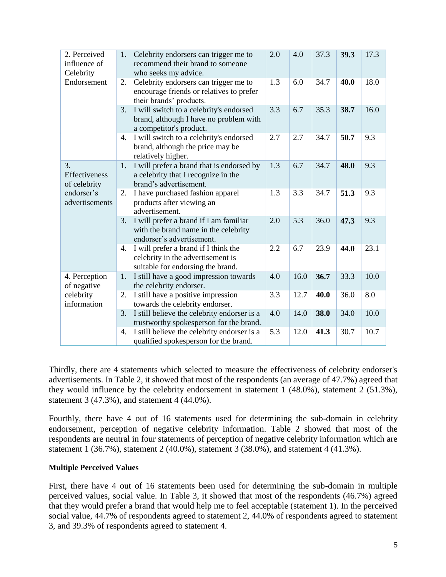| 2. Perceived<br>influence of<br>Celebrity | 1.                                                                                    | Celebrity endorsers can trigger me to<br>recommend their brand to someone<br>who seeks my advice.              | 2.0 | 4.0  | 37.3 | 39.3 | 17.3 |
|-------------------------------------------|---------------------------------------------------------------------------------------|----------------------------------------------------------------------------------------------------------------|-----|------|------|------|------|
| Endorsement                               | 2.                                                                                    | Celebrity endorsers can trigger me to<br>encourage friends or relatives to prefer<br>their brands' products.   | 1.3 | 6.0  | 34.7 | 40.0 | 18.0 |
|                                           | 3.                                                                                    | I will switch to a celebrity's endorsed<br>brand, although I have no problem with<br>a competitor's product.   | 3.3 | 6.7  | 35.3 | 38.7 | 16.0 |
|                                           | 4.                                                                                    | I will switch to a celebrity's endorsed<br>brand, although the price may be<br>relatively higher.              | 2.7 | 2.7  | 34.7 | 50.7 | 9.3  |
| 3.<br>Effectiveness<br>of celebrity       | 1.                                                                                    | I will prefer a brand that is endorsed by<br>a celebrity that I recognize in the<br>brand's advertisement.     | 1.3 | 6.7  | 34.7 | 48.0 | 9.3  |
| endorser's<br>advertisements              | I have purchased fashion apparel<br>2.<br>products after viewing an<br>advertisement. |                                                                                                                |     |      | 34.7 | 51.3 | 9.3  |
|                                           | 3.                                                                                    | I will prefer a brand if I am familiar<br>with the brand name in the celebrity<br>endorser's advertisement.    | 2.0 | 5.3  | 36.0 | 47.3 | 9.3  |
|                                           | 4.                                                                                    | I will prefer a brand if I think the<br>celebrity in the advertisement is<br>suitable for endorsing the brand. | 2.2 | 6.7  | 23.9 | 44.0 | 23.1 |
| 4. Perception<br>of negative              | 1.                                                                                    | I still have a good impression towards<br>the celebrity endorser.                                              | 4.0 | 16.0 | 36.7 | 33.3 | 10.0 |
| celebrity<br>information                  | 2.                                                                                    | I still have a positive impression<br>towards the celebrity endorser.                                          | 3.3 | 12.7 | 40.0 | 36.0 | 8.0  |
|                                           | 3.                                                                                    | I still believe the celebrity endorser is a<br>trustworthy spokesperson for the brand.                         | 4.0 | 14.0 | 38.0 | 34.0 | 10.0 |
|                                           | 4.                                                                                    | I still believe the celebrity endorser is a<br>qualified spokesperson for the brand.                           | 5.3 | 12.0 | 41.3 | 30.7 | 10.7 |

Thirdly, there are 4 statements which selected to measure the effectiveness of celebrity endorser's advertisements. In Table 2, it showed that most of the respondents (an average of 47.7%) agreed that they would influence by the celebrity endorsement in statement 1 (48.0%), statement 2 (51.3%), statement 3 (47.3%), and statement 4 (44.0%).

Fourthly, there have 4 out of 16 statements used for determining the sub-domain in celebrity endorsement, perception of negative celebrity information. Table 2 showed that most of the respondents are neutral in four statements of perception of negative celebrity information which are statement 1 (36.7%), statement 2 (40.0%), statement 3 (38.0%), and statement 4 (41.3%).

# **Multiple Perceived Values**

First, there have 4 out of 16 statements been used for determining the sub-domain in multiple perceived values, social value. In Table 3, it showed that most of the respondents (46.7%) agreed that they would prefer a brand that would help me to feel acceptable (statement 1). In the perceived social value, 44.7% of respondents agreed to statement 2, 44.0% of respondents agreed to statement 3, and 39.3% of respondents agreed to statement 4.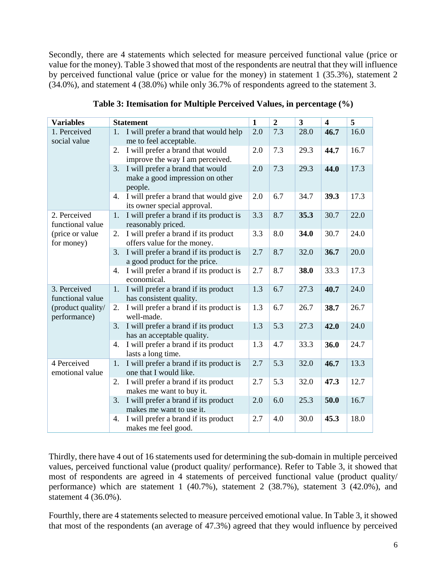Secondly, there are 4 statements which selected for measure perceived functional value (price or value for the money). Table 3 showed that most of the respondents are neutral that they will influence by perceived functional value (price or value for the money) in statement 1 (35.3%), statement 2 (34.0%), and statement 4 (38.0%) while only 36.7% of respondents agreed to the statement 3.

| <b>Variables</b>                  | <b>Statement</b>                                                                     | $\mathbf{1}$ | $\overline{2}$ | $\mathbf{3}$ | $\overline{\mathbf{4}}$ | 5    |
|-----------------------------------|--------------------------------------------------------------------------------------|--------------|----------------|--------------|-------------------------|------|
| 1. Perceived<br>social value      | 1. I will prefer a brand that would help<br>me to feel acceptable.                   | 2.0          | 7.3            | 28.0         | 46.7                    | 16.0 |
|                                   | I will prefer a brand that would<br>2.<br>improve the way I am perceived.            | 2.0          | 7.3            | 29.3         | 44.7                    | 16.7 |
|                                   | I will prefer a brand that would<br>3.<br>make a good impression on other<br>people. | 2.0          | 7.3            | 29.3         | 44.0                    | 17.3 |
|                                   | I will prefer a brand that would give<br>4.<br>its owner special approval.           | 2.0          | 6.7            | 34.7         | 39.3                    | 17.3 |
| 2. Perceived<br>functional value  | I will prefer a brand if its product is<br>1.<br>reasonably priced.                  | 3.3          | 8.7            | 35.3         | 30.7                    | 22.0 |
| (price or value<br>for money)     | 2.<br>I will prefer a brand if its product<br>offers value for the money.            | 3.3          | 8.0            | 34.0         | 30.7                    | 24.0 |
|                                   | I will prefer a brand if its product is<br>3.<br>a good product for the price.       | 2.7          | 8.7            | 32.0         | 36.7                    | 20.0 |
|                                   | I will prefer a brand if its product is<br>4.<br>economical.                         | 2.7          | 8.7            | 38.0         | 33.3                    | 17.3 |
| 3. Perceived<br>functional value  | I will prefer a brand if its product<br>1.<br>has consistent quality.                | 1.3          | 6.7            | 27.3         | 40.7                    | 24.0 |
| (product quality/<br>performance) | I will prefer a brand if its product is<br>2.<br>well-made.                          | 1.3          | 6.7            | 26.7         | 38.7                    | 26.7 |
|                                   | I will prefer a brand if its product<br>3.<br>has an acceptable quality.             | 1.3          | 5.3            | 27.3         | 42.0                    | 24.0 |
|                                   | I will prefer a brand if its product<br>4.<br>lasts a long time.                     | 1.3          | 4.7            | 33.3         | 36.0                    | 24.7 |
| 4 Perceived<br>emotional value    | I will prefer a brand if its product is<br>1.<br>one that I would like.              | 2.7          | 5.3            | 32.0         | 46.7                    | 13.3 |
|                                   | I will prefer a brand if its product<br>2.<br>makes me want to buy it.               | 2.7          | 5.3            | 32.0         | 47.3                    | 12.7 |
|                                   | I will prefer a brand if its product<br>3.<br>makes me want to use it.               | 2.0          | 6.0            | 25.3         | 50.0                    | 16.7 |
|                                   | I will prefer a brand if its product<br>4.<br>makes me feel good.                    | 2.7          | 4.0            | 30.0         | 45.3                    | 18.0 |

**Table 3: Itemisation for Multiple Perceived Values, in percentage (%)**

Thirdly, there have 4 out of 16 statements used for determining the sub-domain in multiple perceived values, perceived functional value (product quality/ performance). Refer to Table 3, it showed that most of respondents are agreed in 4 statements of perceived functional value (product quality/ performance) which are statement 1 (40.7%), statement 2 (38.7%), statement 3 (42.0%), and statement 4 (36.0%).

Fourthly, there are 4 statements selected to measure perceived emotional value. In Table 3, it showed that most of the respondents (an average of 47.3%) agreed that they would influence by perceived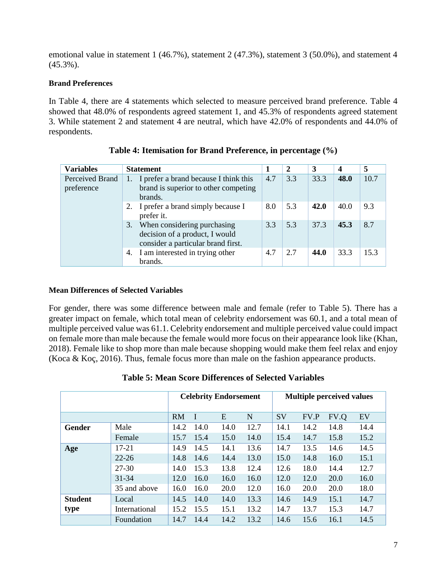emotional value in statement 1 (46.7%), statement 2 (47.3%), statement 3 (50.0%), and statement 4 (45.3%).

# **Brand Preferences**

In Table 4, there are 4 statements which selected to measure perceived brand preference. Table 4 showed that 48.0% of respondents agreed statement 1, and 45.3% of respondents agreed statement 3. While statement 2 and statement 4 are neutral, which have 42.0% of respondents and 44.0% of respondents.

| <b>Variables</b>              | <b>Statement</b>                                                                                       |     | $\mathbf{2}$ | 3    | $\overline{\mathbf{4}}$ | 5    |
|-------------------------------|--------------------------------------------------------------------------------------------------------|-----|--------------|------|-------------------------|------|
| Perceived Brand<br>preference | 1. I prefer a brand because I think this<br>brand is superior to other competing<br>brands.            | 4.7 | 3.3          | 33.3 | 48.0                    | 10.7 |
|                               | 2. I prefer a brand simply because I<br>prefer it.                                                     | 8.0 | 5.3          | 42.0 | 40.0                    | 9.3  |
|                               | 3. When considering purchasing<br>decision of a product, I would<br>consider a particular brand first. | 3.3 | 5.3          | 37.3 | 45.3                    | 8.7  |
|                               | 4. I am interested in trying other<br>brands.                                                          | 4.7 | 2.7          | 44.0 | 33.3                    | 15.3 |

|  |  | Table 4: Itemisation for Brand Preference, in percentage (%) |
|--|--|--------------------------------------------------------------|
|--|--|--------------------------------------------------------------|

# **Mean Differences of Selected Variables**

For gender, there was some difference between male and female (refer to Table 5). There has a greater impact on female, which total mean of celebrity endorsement was 60.1, and a total mean of multiple perceived value was 61.1. Celebrity endorsement and multiple perceived value could impact on female more than male because the female would more focus on their appearance look like (Khan, 2018). Female like to shop more than male because shopping would make them feel relax and enjoy (Koca & Koç, 2016). Thus, female focus more than male on the fashion appearance products.

|                | <b>Celebrity Endorsement</b> |           |      |      | <b>Multiple perceived values</b> |           |      |      |      |
|----------------|------------------------------|-----------|------|------|----------------------------------|-----------|------|------|------|
|                |                              | <b>RM</b> |      | E    | N                                | <b>SV</b> | FV.P | FV.Q | EV   |
| Gender         | Male                         | 14.2      | 14.0 | 14.0 | 12.7                             | 14.1      | 14.2 | 14.8 | 14.4 |
|                | Female                       | 15.7      | 15.4 | 15.0 | 14.0                             | 15.4      | 14.7 | 15.8 | 15.2 |
| Age            | $17 - 21$                    | 14.9      | 14.5 | 14.1 | 13.6                             | 14.7      | 13.5 | 14.6 | 14.5 |
|                | $22 - 26$                    | 14.8      | 14.6 | 14.4 | 13.0                             | 15.0      | 14.8 | 16.0 | 15.1 |
|                | 27-30                        | 14.0      | 15.3 | 13.8 | 12.4                             | 12.6      | 18.0 | 14.4 | 12.7 |
|                | $31 - 34$                    | 12.0      | 16.0 | 16.0 | 16.0                             | 12.0      | 12.0 | 20.0 | 16.0 |
|                | 35 and above                 | 16.0      | 16.0 | 20.0 | 12.0                             | 16.0      | 20.0 | 20.0 | 18.0 |
| <b>Student</b> | Local                        | 14.5      | 14.0 | 14.0 | 13.3                             | 14.6      | 14.9 | 15.1 | 14.7 |
| type           | International                | 15.2      | 15.5 | 15.1 | 13.2                             | 14.7      | 13.7 | 15.3 | 14.7 |
|                | Foundation                   | 14.7      | 14.4 | 14.2 | 13.2                             | 14.6      | 15.6 | 16.1 | 14.5 |

# **Table 5: Mean Score Differences of Selected Variables**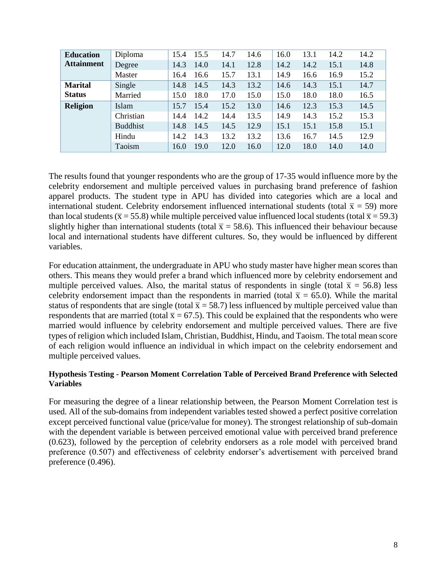| <b>Education</b>  | Diploma         | 15.4 | 15.5 | 14.7 | 14.6 | 16.0 | 13.1 | 14.2 | 14.2 |
|-------------------|-----------------|------|------|------|------|------|------|------|------|
| <b>Attainment</b> | Degree          | 14.3 | 14.0 | 14.1 | 12.8 | 14.2 | 14.2 | 15.1 | 14.8 |
|                   | Master          | 16.4 | 16.6 | 15.7 | 13.1 | 14.9 | 16.6 | 16.9 | 15.2 |
| <b>Marital</b>    | Single          | 14.8 | 14.5 | 14.3 | 13.2 | 14.6 | 14.3 | 15.1 | 14.7 |
| <b>Status</b>     | Married         | 15.0 | 18.0 | 17.0 | 15.0 | 15.0 | 18.0 | 18.0 | 16.5 |
| <b>Religion</b>   | Islam           | 15.7 | 15.4 | 15.2 | 13.0 | 14.6 | 12.3 | 15.3 | 14.5 |
|                   | Christian       | 14.4 | 14.2 | 14.4 | 13.5 | 14.9 | 14.3 | 15.2 | 15.3 |
|                   | <b>Buddhist</b> | 14.8 | 14.5 | 14.5 | 12.9 | 15.1 | 15.1 | 15.8 | 15.1 |
|                   | Hindu           | 14.2 | 14.3 | 13.2 | 13.2 | 13.6 | 16.7 | 14.5 | 12.9 |
|                   | Taoism          | 16.0 | 19.0 | 12.0 | 16.0 | 12.0 | 18.0 | 14.0 | 14.0 |

The results found that younger respondents who are the group of 17-35 would influence more by the celebrity endorsement and multiple perceived values in purchasing brand preference of fashion apparel products. The student type in APU has divided into categories which are a local and international student. Celebrity endorsement influenced international students (total  $\bar{x}$  = 59) more than local students ( $\bar{x}$  = 55.8) while multiple perceived value influenced local students (total  $\bar{x}$  = 59.3) slightly higher than international students (total  $\bar{x}$  = 58.6). This influenced their behaviour because local and international students have different cultures. So, they would be influenced by different variables.

For education attainment, the undergraduate in APU who study master have higher mean scores than others. This means they would prefer a brand which influenced more by celebrity endorsement and multiple perceived values. Also, the marital status of respondents in single (total  $\bar{x}$  = 56.8) less celebrity endorsement impact than the respondents in married (total  $\bar{x} = 65.0$ ). While the marital status of respondents that are single (total  $\bar{x}$  = 58.7) less influenced by multiple perceived value than respondents that are married (total  $\bar{x} = 67.5$ ). This could be explained that the respondents who were married would influence by celebrity endorsement and multiple perceived values. There are five types of religion which included Islam, Christian, Buddhist, Hindu, and Taoism. The total mean score of each religion would influence an individual in which impact on the celebrity endorsement and multiple perceived values.

# **Hypothesis Testing - Pearson Moment Correlation Table of Perceived Brand Preference with Selected Variables**

For measuring the degree of a linear relationship between, the Pearson Moment Correlation test is used. All of the sub-domains from independent variables tested showed a perfect positive correlation except perceived functional value (price/value for money). The strongest relationship of sub-domain with the dependent variable is between perceived emotional value with perceived brand preference (0.623), followed by the perception of celebrity endorsers as a role model with perceived brand preference (0.507) and effectiveness of celebrity endorser's advertisement with perceived brand preference (0.496).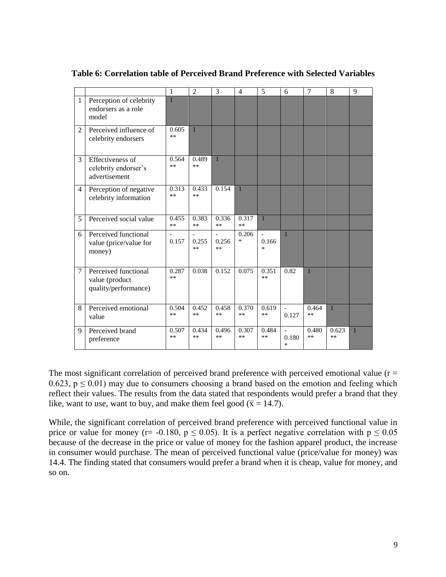|                |                                                                | 1              | $\overline{2}$ | 3             | $\overline{4}$  | 5                                 | 6                            | 7             | 8             | 9            |
|----------------|----------------------------------------------------------------|----------------|----------------|---------------|-----------------|-----------------------------------|------------------------------|---------------|---------------|--------------|
| $\mathbf{1}$   | Perception of celebrity<br>endorsers as a role<br>model        |                |                |               |                 |                                   |                              |               |               |              |
| $\overline{c}$ | Perceived influence of<br>celebrity endorsers                  | 0.605<br>$**$  | $\mathbf{1}$   |               |                 |                                   |                              |               |               |              |
| 3              | Effectiveness of<br>celebrity endorser's<br>advertisement      | 0.564<br>$***$ | 0.489<br>$**$  | 1             |                 |                                   |                              |               |               |              |
| 4              | Perception of negative<br>celebrity information                | 0.313<br>$***$ | 0.433<br>**    | 0.154         | $\overline{1}$  |                                   |                              |               |               |              |
| 5              | Perceived social value                                         | 0.455<br>$***$ | 0.383<br>$**$  | 0.336<br>$**$ | 0.317<br>$**$   | $\mathbf{1}$                      |                              |               |               |              |
| 6              | Perceived functional<br>value (price/value for<br>money)       | 0.157          | 0.255<br>**    | 0.256<br>$**$ | 0.206<br>$\ast$ | $\overline{a}$<br>0.166<br>$\ast$ | $\mathbf{1}$                 |               |               |              |
| 7              | Perceived functional<br>value (product<br>quality/performance) | 0.287<br>$**$  | 0.038          | 0.152         | 0.075           | 0.351<br>$**$                     | 0.82                         | $\mathbf{1}$  |               |              |
| 8              | Perceived emotional<br>value                                   | 0.504<br>$**$  | 0.452<br>$**$  | 0.458<br>$**$ | 0.370<br>$**$   | 0.619<br>$**$                     | $\equiv$<br>0.127            | 0.464<br>$**$ | $\mathbf{1}$  |              |
| 9              | Perceived brand<br>preference                                  | 0.507<br>$**$  | 0.434<br>**    | 0.496<br>$**$ | 0.307<br>$**$   | 0.484<br>**                       | $\overline{a}$<br>0.180<br>* | 0.480<br>$**$ | 0.623<br>$**$ | $\mathbf{1}$ |

**Table 6: Correlation table of Perceived Brand Preference with Selected Variables**

The most significant correlation of perceived brand preference with perceived emotional value ( $r =$ 0.623,  $p \le 0.01$ ) may due to consumers choosing a brand based on the emotion and feeling which reflect their values. The results from the data stated that respondents would prefer a brand that they like, want to use, want to buy, and make them feel good ( $\bar{x}$  = 14.7).

While, the significant correlation of perceived brand preference with perceived functional value in price or value for money (r= -0.180,  $p \le 0.05$ ). It is a perfect negative correlation with  $p \le 0.05$ because of the decrease in the price or value of money for the fashion apparel product, the increase in consumer would purchase. The mean of perceived functional value (price/value for money) was 14.4. The finding stated that consumers would prefer a brand when it is cheap, value for money, and so on.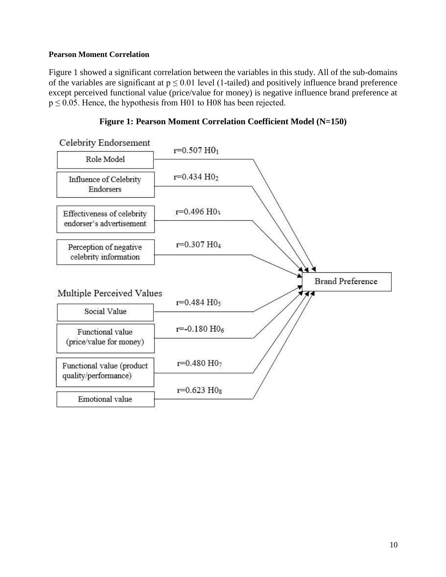# **Pearson Moment Correlation**

Figure 1 showed a significant correlation between the variables in this study. All of the sub-domains of the variables are significant at  $p \le 0.01$  level (1-tailed) and positively influence brand preference except perceived functional value (price/value for money) is negative influence brand preference at  $p \le 0.05$ . Hence, the hypothesis from H01 to H08 has been rejected.



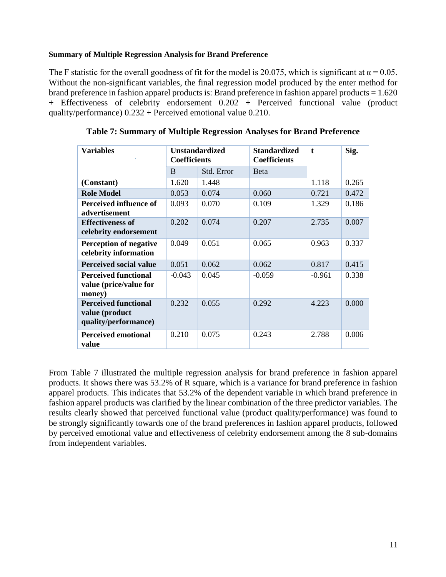# **Summary of Multiple Regression Analysis for Brand Preference**

The F statistic for the overall goodness of fit for the model is 20.075, which is significant at  $\alpha = 0.05$ . Without the non-significant variables, the final regression model produced by the enter method for brand preference in fashion apparel products is: Brand preference in fashion apparel products = 1.620 + Effectiveness of celebrity endorsement 0.202 + Perceived functional value (product quality/performance) 0.232 + Perceived emotional value 0.210.

| <b>Variables</b>                                                      | <b>Coefficients</b> | <b>Unstandardized</b> | <b>Standardized</b><br><b>Coefficients</b> | $\mathbf{t}$ | Sig.  |
|-----------------------------------------------------------------------|---------------------|-----------------------|--------------------------------------------|--------------|-------|
|                                                                       | B                   | Std. Error            | <b>B</b> eta                               |              |       |
| (Constant)                                                            | 1.620               | 1.448                 |                                            | 1.118        | 0.265 |
| <b>Role Model</b>                                                     | 0.053               | 0.074                 | 0.060                                      | 0.721        | 0.472 |
| Perceived influence of<br>advertisement                               | 0.093               | 0.070                 | 0.109                                      | 1.329        | 0.186 |
| <b>Effectiveness of</b><br>celebrity endorsement                      | 0.202               | 0.074                 | 0.207                                      | 2.735        | 0.007 |
| <b>Perception of negative</b><br>celebrity information                | 0.049               | 0.051                 | 0.065                                      | 0.963        | 0.337 |
| <b>Perceived social value</b>                                         | 0.051               | 0.062                 | 0.062                                      | 0.817        | 0.415 |
| <b>Perceived functional</b><br>value (price/value for<br>money)       | $-0.043$            | 0.045                 | $-0.059$                                   | $-0.961$     | 0.338 |
| <b>Perceived functional</b><br>value (product<br>quality/performance) | 0.232               | 0.055                 | 0.292                                      | 4.223        | 0.000 |
| <b>Perceived emotional</b><br>value                                   | 0.210               | 0.075                 | 0.243                                      | 2.788        | 0.006 |

**Table 7: Summary of Multiple Regression Analyses for Brand Preference**

From Table 7 illustrated the multiple regression analysis for brand preference in fashion apparel products. It shows there was 53.2% of R square, which is a variance for brand preference in fashion apparel products. This indicates that 53.2% of the dependent variable in which brand preference in fashion apparel products was clarified by the linear combination of the three predictor variables. The results clearly showed that perceived functional value (product quality/performance) was found to be strongly significantly towards one of the brand preferences in fashion apparel products, followed by perceived emotional value and effectiveness of celebrity endorsement among the 8 sub-domains from independent variables.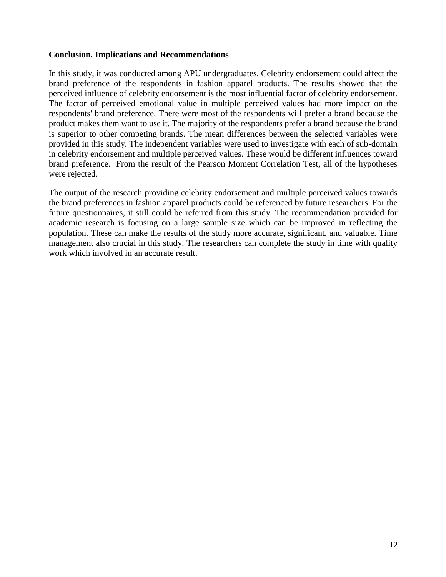#### **Conclusion, Implications and Recommendations**

In this study, it was conducted among APU undergraduates. Celebrity endorsement could affect the brand preference of the respondents in fashion apparel products. The results showed that the perceived influence of celebrity endorsement is the most influential factor of celebrity endorsement. The factor of perceived emotional value in multiple perceived values had more impact on the respondents' brand preference. There were most of the respondents will prefer a brand because the product makes them want to use it. The majority of the respondents prefer a brand because the brand is superior to other competing brands. The mean differences between the selected variables were provided in this study. The independent variables were used to investigate with each of sub-domain in celebrity endorsement and multiple perceived values. These would be different influences toward brand preference. From the result of the Pearson Moment Correlation Test, all of the hypotheses were rejected.

The output of the research providing celebrity endorsement and multiple perceived values towards the brand preferences in fashion apparel products could be referenced by future researchers. For the future questionnaires, it still could be referred from this study. The recommendation provided for academic research is focusing on a large sample size which can be improved in reflecting the population. These can make the results of the study more accurate, significant, and valuable. Time management also crucial in this study. The researchers can complete the study in time with quality work which involved in an accurate result.